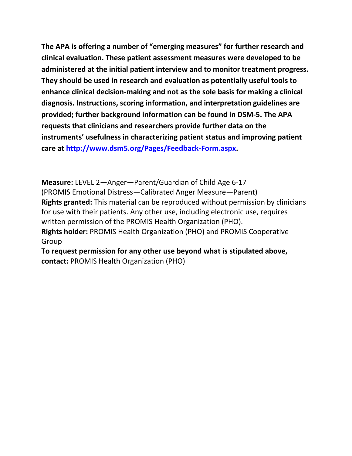**The APA is offering a number of "emerging measures" for further research and clinical evaluation. These patient assessment measures were developed to be administered at the initial patient interview and to monitor treatment progress. They should be used in research and evaluation as potentially useful tools to enhance clinical decision-making and not as the sole basis for making a clinical diagnosis. Instructions, scoring information, and interpretation guidelines are provided; further background information can be found in DSM-5. The APA requests that clinicians and researchers provide further data on the instruments' usefulness in characterizing patient status and improving patient care at [http://www.dsm5.org/Pages/Feedback-Form.aspx.](http://www.dsm5.org/Pages/Feedback-Form.aspx)**

**Measure:** LEVEL 2—Anger—Parent/Guardian of Child Age 6-17 (PROMIS Emotional Distress—Calibrated Anger Measure—Parent) **Rights granted:** This material can be reproduced without permission by clinicians for use with their patients. Any other use, including electronic use, requires written permission of the PROMIS Health Organization (PHO). **Rights holder:** PROMIS Health Organization (PHO) and PROMIS Cooperative Group

**To request permission for any other use beyond what is stipulated above, contact:** PROMIS Health Organization (PHO)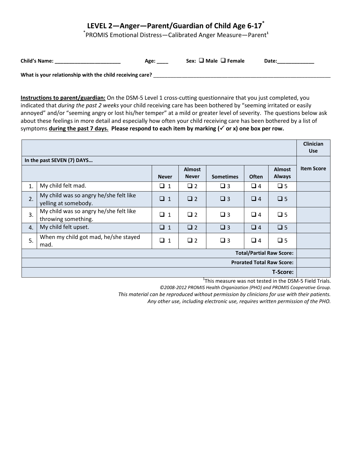## **LEVEL 2—Anger—Parent/Guardian of Child Age 6-17\***

\* PROMIS Emotional Distress—Calibrated Anger Measure—Parent**<sup>1</sup>**

| <b>Child's Name:</b>                                     | Age: | Sex: $\Box$ Male $\Box$ Female | Date: |
|----------------------------------------------------------|------|--------------------------------|-------|
| What is your relationship with the child receiving care? |      |                                |       |

**Instructions to parent/guardian:** On the DSM-5 Level 1 cross-cutting questionnaire that you just completed, you indicated that *during the past 2 weeks* your child receiving care has been bothered by "seeming irritated or easily annoyed" and/or "seeming angry or lost his/her temper" at a mild or greater level of severity. The questions below ask about these feelings in more detail and especially how often your child receiving care has been bothered by a list of symptoms **during the past 7 days. Please respond to each item by marking ( or x) one box per row.** 

|                                  |                                                                |              |                               |                  |              |                                | <b>Clinician</b><br><b>Use</b> |
|----------------------------------|----------------------------------------------------------------|--------------|-------------------------------|------------------|--------------|--------------------------------|--------------------------------|
| In the past SEVEN (7) DAYS       |                                                                |              |                               |                  |              |                                |                                |
|                                  |                                                                | <b>Never</b> | <b>Almost</b><br><b>Never</b> | <b>Sometimes</b> | <b>Often</b> | <b>Almost</b><br><b>Always</b> | <b>Item Score</b>              |
| 1.                               | My child felt mad.                                             | $\Box$ 1     | $\Box$ 2                      | $\Box$ 3         | $\Box$ 4     | $\square$ 5                    |                                |
| 2.                               | My child was so angry he/she felt like<br>yelling at somebody. | $\Box$ 1     | $\Box$ 2                      | $\Box$ 3         | $\Box$ 4     | $\Box$ 5                       |                                |
| 3.                               | My child was so angry he/she felt like<br>throwing something.  | $\Box$ 1     | $\Box$ 2                      | $\Box$ 3         | $\Box$ 4     | $\square$ 5                    |                                |
| 4.                               | My child felt upset.                                           | $\Box$ 1     | $\Box$ 2                      | $\square$ 3      | $\Box$ 4     | $\Box$ 5                       |                                |
| 5.                               | When my child got mad, he/she stayed<br>mad.                   | $\Box$ 1     | $\Box$ 2                      | $\Box$ 3         | $\Box$ 4     | $\square$ 5                    |                                |
| <b>Total/Partial Raw Score:</b>  |                                                                |              |                               |                  |              |                                |                                |
| <b>Prorated Total Raw Score:</b> |                                                                |              |                               |                  |              |                                |                                |
| <b>T-Score:</b>                  |                                                                |              |                               |                  |              |                                |                                |

<sup>1</sup>This measure was not tested in the DSM-5 Field Trials.

*©2008-2012 PROMIS Health Organization (PHO) and PROMIS Cooperative Group.*

*This material can be reproduced without permission by clinicians for use with their patients.*

*Any other use, including electronic use, requires written permission of the PHO.*